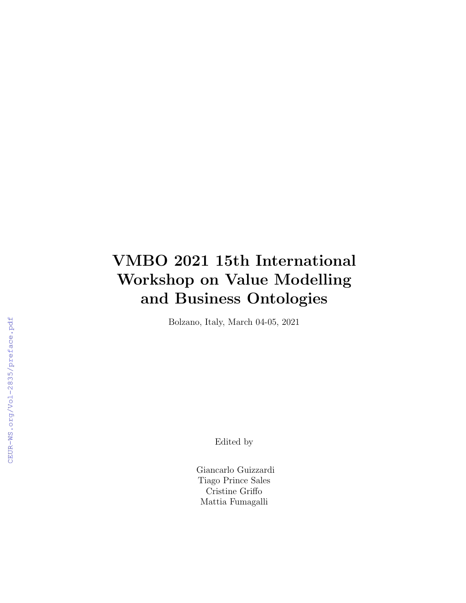## VMBO 2021 15th International Workshop on Value Modelling and Business Ontologies

Bolzano, Italy, March 04-05, 2021

Edited by

Giancarlo Guizzardi Tiago Prince Sales Cristine Griffo Mattia Fumagalli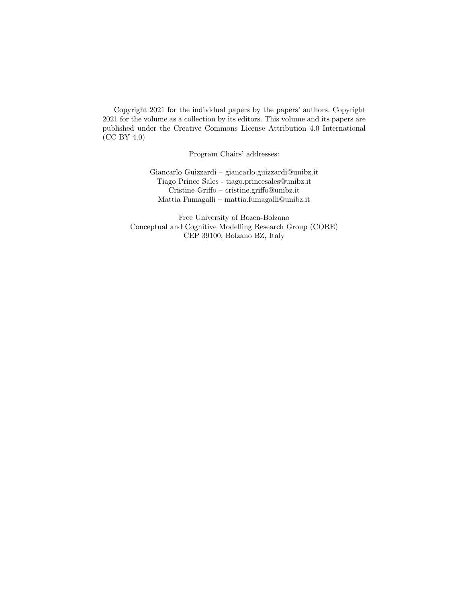Copyright 2021 for the individual papers by the papers' authors. Copyright 2021 for the volume as a collection by its editors. This volume and its papers are published under the Creative Commons License Attribution 4.0 International (CC BY 4.0)

Program Chairs' addresses:

Giancarlo Guizzardi – giancarlo.guizzardi@unibz.it Tiago Prince Sales - tiago.princesales@unibz.it Cristine Griffo – cristine.griffo@unibz.it Mattia Fumagalli – mattia.fumagalli@unibz.it

Free University of Bozen-Bolzano Conceptual and Cognitive Modelling Research Group (CORE) CEP 39100, Bolzano BZ, Italy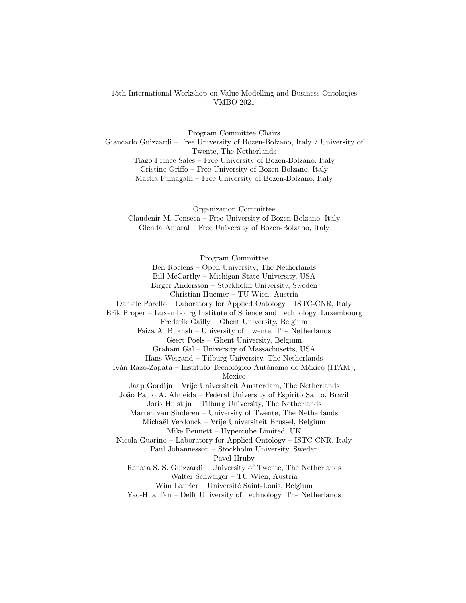## 15th International Workshop on Value Modelling and Business Ontologies VMBO 2021

Program Committee Chairs Giancarlo Guizzardi – Free University of Bozen-Bolzano, Italy / University of Twente, The Netherlands Tiago Prince Sales – Free University of Bozen-Bolzano, Italy Cristine Griffo – Free University of Bozen-Bolzano, Italy Mattia Fumagalli – Free University of Bozen-Bolzano, Italy

Organization Committee Claudenir M. Fonseca – Free University of Bozen-Bolzano, Italy Glenda Amaral – Free University of Bozen-Bolzano, Italy

Program Committee Ben Roelens – Open University, The Netherlands Bill McCarthy – Michigan State University, USA Birger Andersson – Stockholm University, Sweden Christian Huemer – TU Wien, Austria Daniele Porello – Laboratory for Applied Ontology – ISTC-CNR, Italy Erik Proper – Luxembourg Institute of Science and Technology, Luxembourg Frederik Gailly – Ghent University, Belgium Faiza A. Bukhsh – University of Twente, The Netherlands Geert Poels – Ghent University, Belgium Graham Gal – University of Massachusetts, USA Hans Weigand – Tilburg University, The Netherlands Iván Razo-Zapata – Instituto Tecnológico Autónomo de México (ITAM), Mexico Jaap Gordijn – Vrije Universiteit Amsterdam, The Netherlands João Paulo A. Almeida – Federal University of Espírito Santo, Brazil Joris Hulstijn – Tilburg University, The Netherlands Marten van Sinderen – University of Twente, The Netherlands Michaël Verdonck – Vrije Universiteit Brussel, Belgium Mike Bennett – Hypercube Limited, UK Nicola Guarino – Laboratory for Applied Ontology – ISTC-CNR, Italy Paul Johannesson – Stockholm University, Sweden Pavel Hruby Renata S. S. Guizzardi – University of Twente, The Netherlands Walter Schwaiger – TU Wien, Austria Wim Laurier – Université Saint-Louis, Belgium Yao-Hua Tan – Delft University of Technology, The Netherlands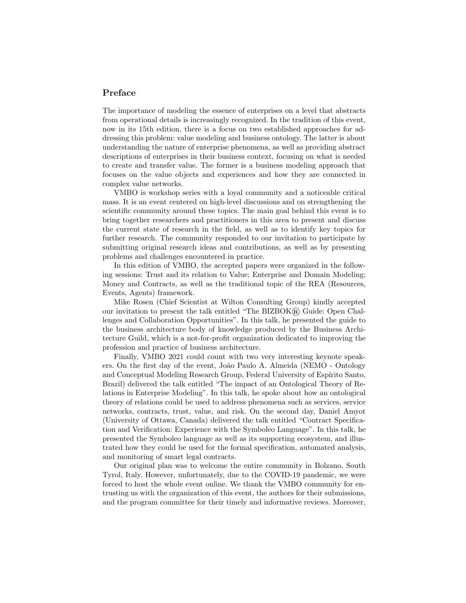## Preface

The importance of modeling the essence of enterprises on a level that abstracts from operational details is increasingly recognized. In the tradition of this event, now in its 15th edition, there is a focus on two established approaches for addressing this problem: value modeling and business ontology. The latter is about understanding the nature of enterprise phenomena, as well as providing abstract descriptions of enterprises in their business context, focusing on what is needed to create and transfer value. The former is a business modeling approach that focuses on the value objects and experiences and how they are connected in complex value networks.

VMBO is workshop series with a loyal community and a noticeable critical mass. It is an event centered on high-level discussions and on strengthening the scientific community around these topics. The main goal behind this event is to bring together researchers and practitioners in this area to present and discuss the current state of research in the field, as well as to identify key topics for further research. The community responded to our invitation to participate by submitting original research ideas and contributions, as well as by presenting problems and challenges encountered in practice.

In this edition of VMBO, the accepted papers were organized in the following sessions: Trust and its relation to Value; Enterprise and Domain Modeling; Money and Contracts, as well as the traditional topic of the REA (Resources, Events, Agents) framework.

Mike Rosen (Chief Scientist at Wilton Consulting Group) kindly accepted our invitation to present the talk entitled "The  $BIZBOK@$ ) Guide: Open Challenges and Collaboration Opportunities". In this talk, he presented the guide to the business architecture body of knowledge produced by the Business Architecture Guild, which is a not-for-profit organization dedicated to improving the profession and practice of business architecture.

Finally, VMBO 2021 could count with two very interesting keynote speakers. On the first day of the event, João Paulo A. Almeida (NEMO - Ontology and Conceptual Modeling Research Group, Federal University of Espírito Santo, Brazil) delivered the talk entitled "The impact of an Ontological Theory of Relations in Enterprise Modeling". In this talk, he spoke about how an ontological theory of relations could be used to address phenomena such as services, service networks, contracts, trust, value, and risk. On the second day, Daniel Amyot (University of Ottawa, Canada) delivered the talk entitled "Contract Specification and Verification: Experience with the Symboleo Language". In this talk, he presented the Symboleo language as well as its supporting ecosystem, and illustrated how they could be used for the formal specification, automated analysis, and monitoring of smart legal contracts.

Our original plan was to welcome the entire community in Bolzano, South Tyrol, Italy. However, unfortunately, due to the COVID-19 pandemic, we were forced to host the whole event online. We thank the VMBO community for entrusting us with the organization of this event, the authors for their submissions, and the program committee for their timely and informative reviews. Moreover,